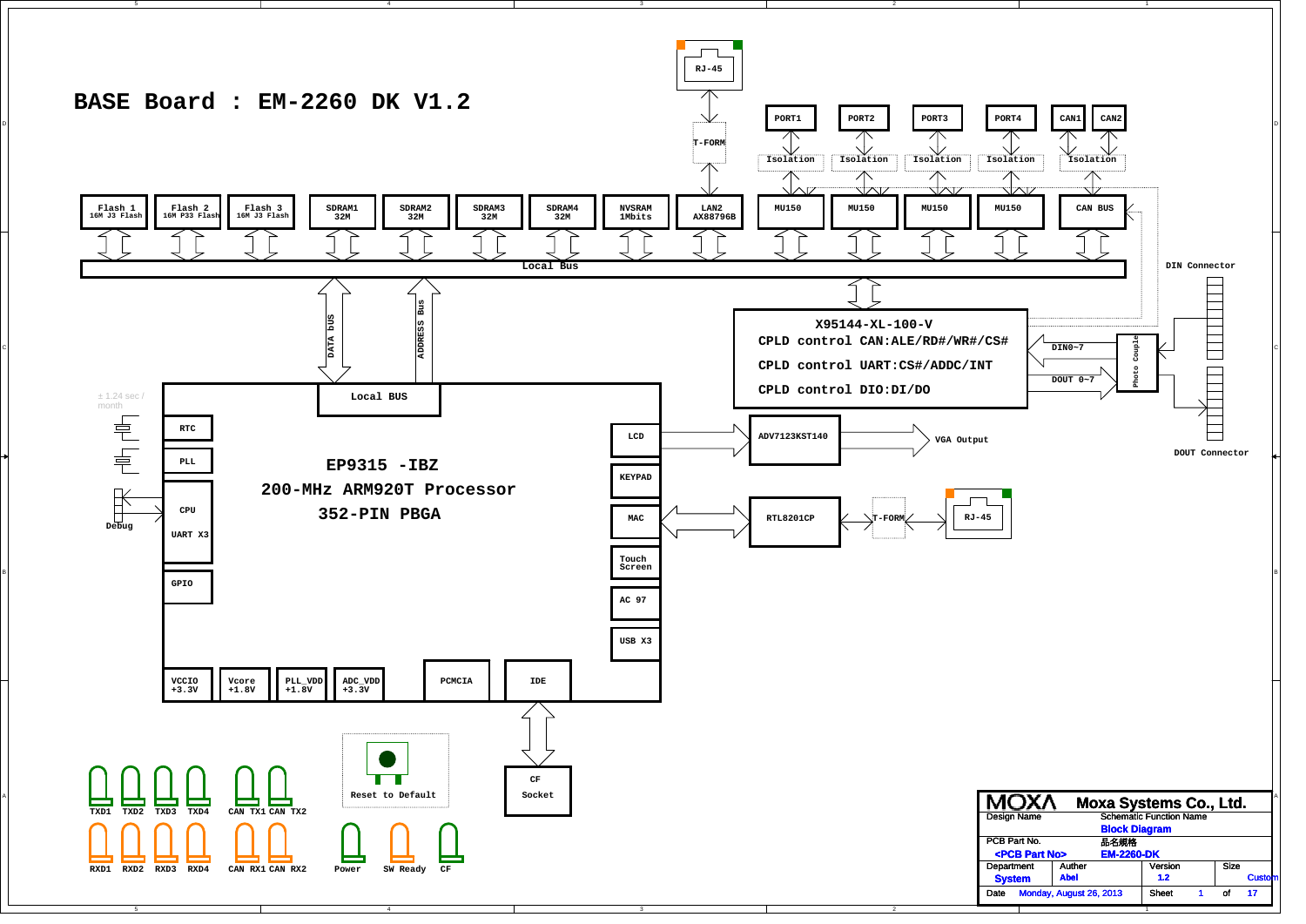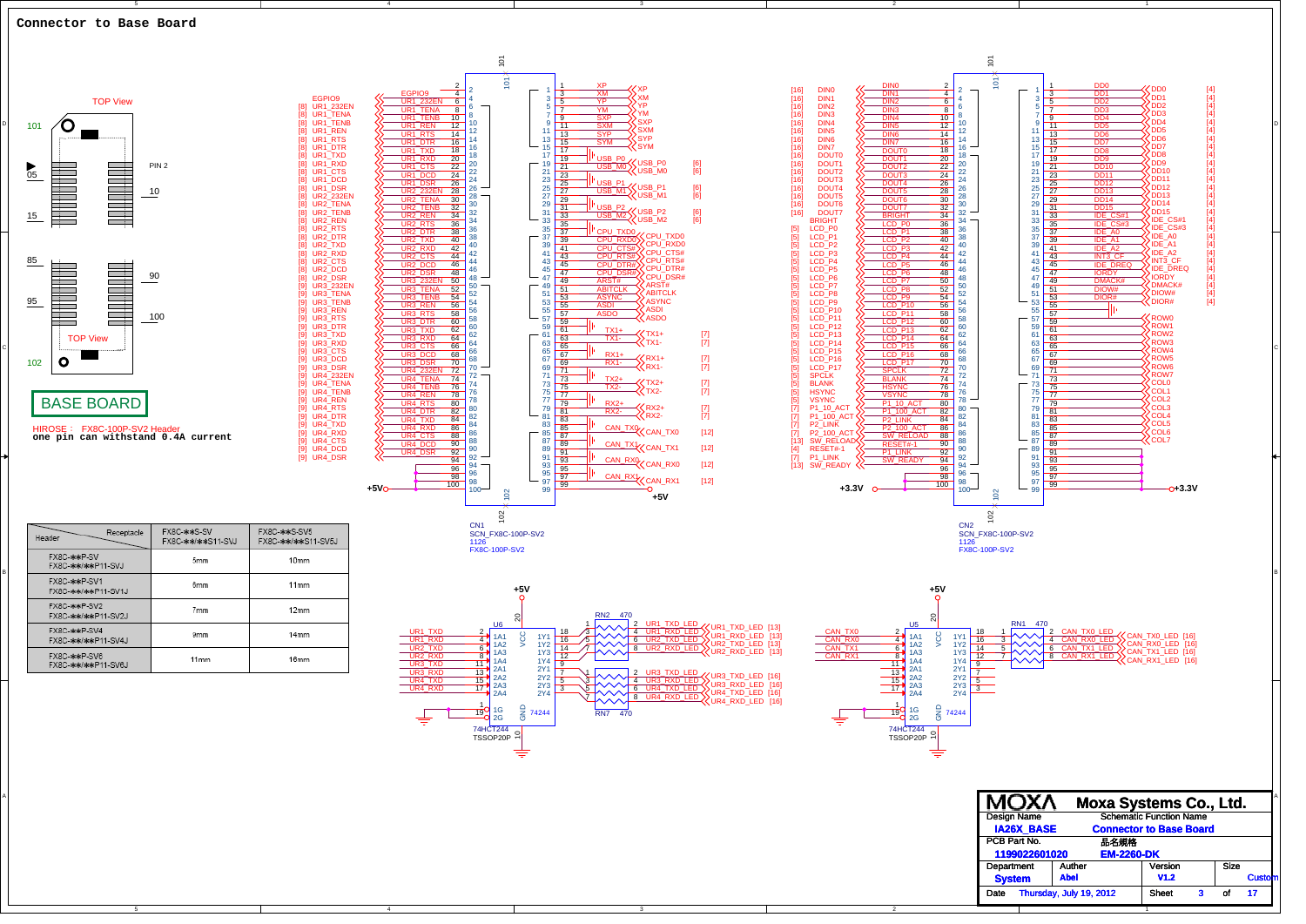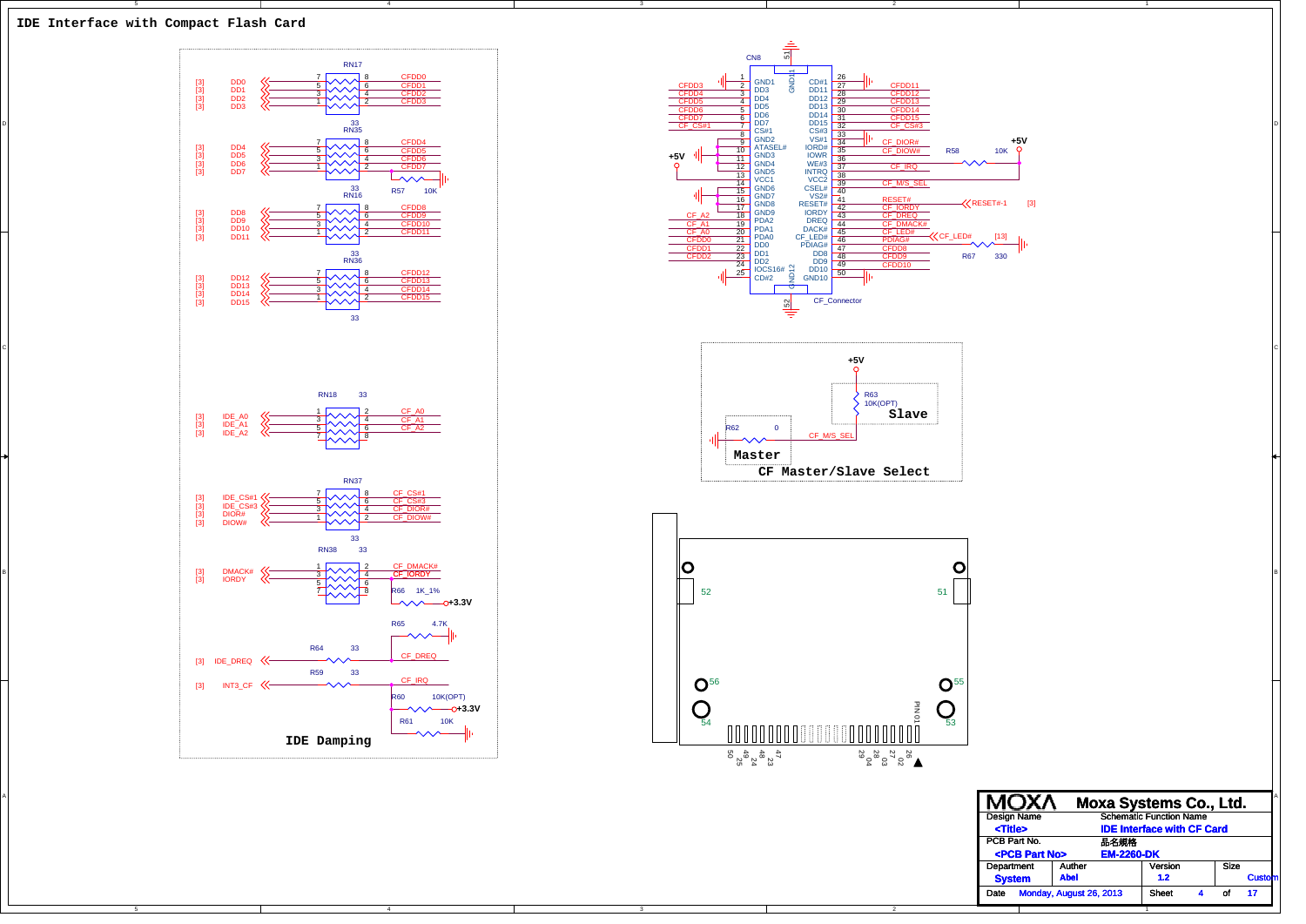

C

B

A



4



1

Date Monday, August 26, 2013 Sheet 4 of 17

of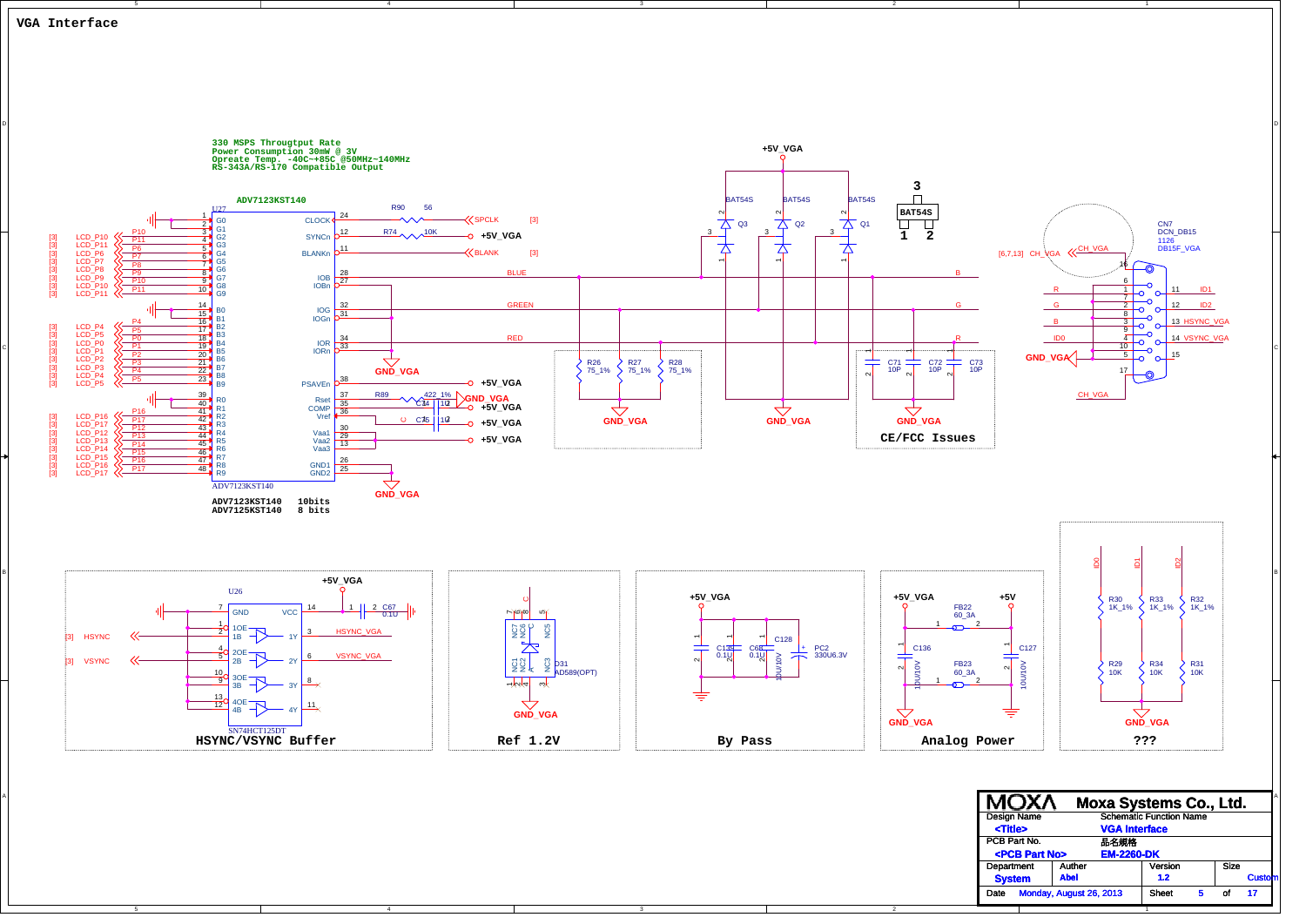

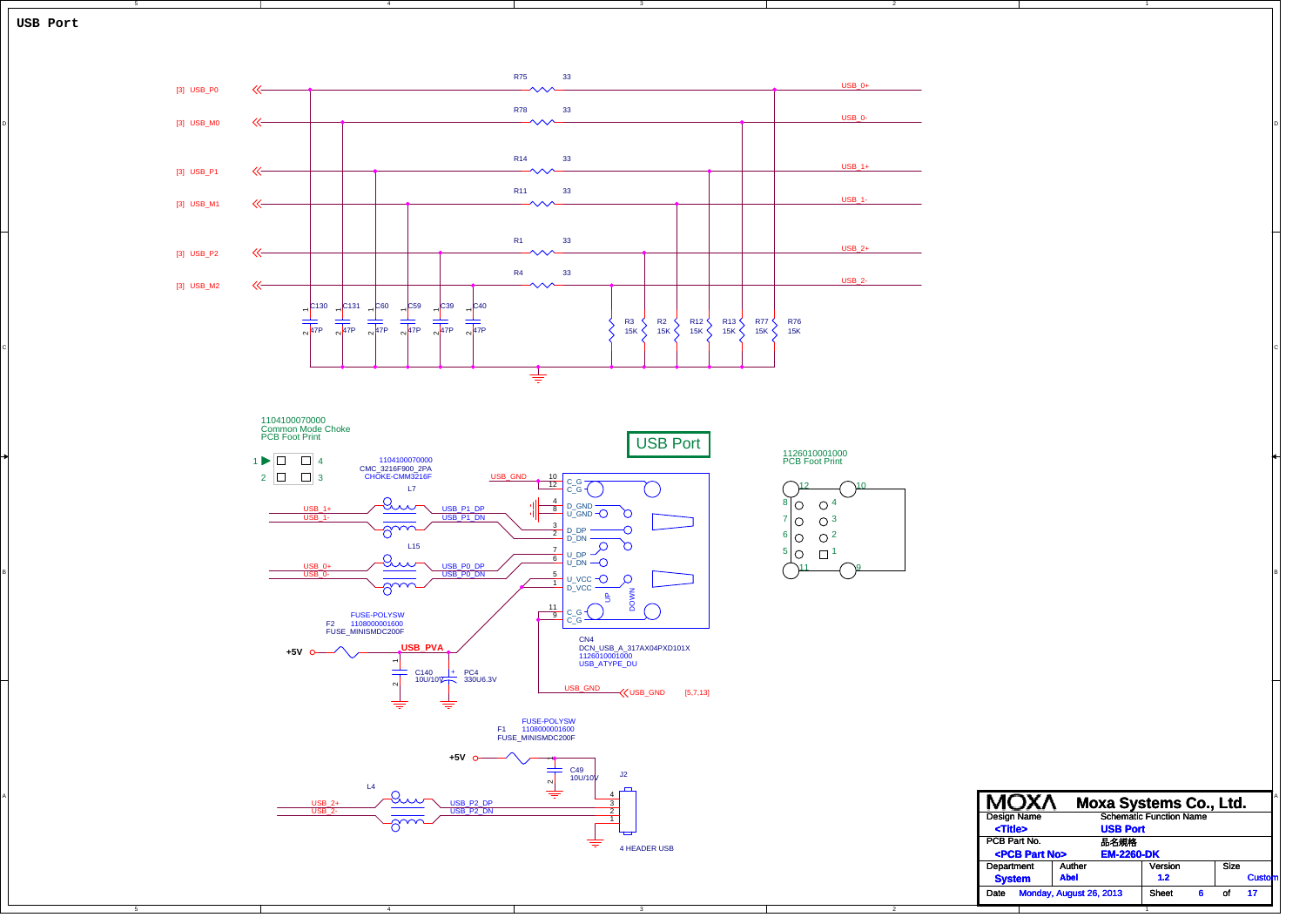![](_page_4_Figure_0.jpeg)

C

B

A

![](_page_4_Figure_1.jpeg)

![](_page_4_Figure_2.jpeg)

4

1Size of PCB Part No. 品名規格品名規格 Department Auther I Version Date Monday, August 26, 2013 Sheet 6 of 17 Design Name Schematic Function Name **Moxa Systems Co., Ltd. USB Port 1.2 <Title>** Cus **<PCB Part No> EM-2260-DK System Abel**

9

10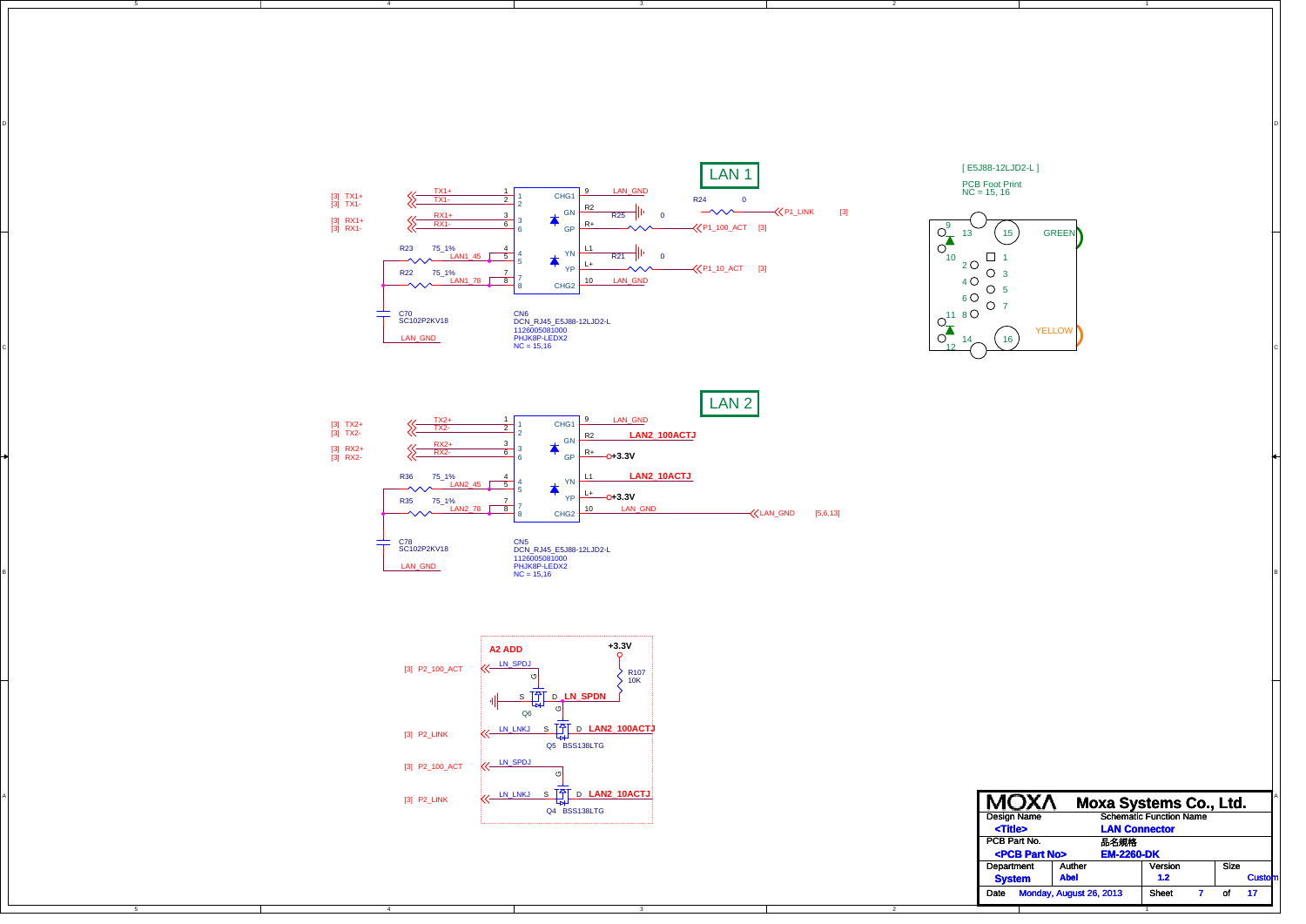![](_page_5_Figure_0.jpeg)

D

![](_page_5_Figure_1.jpeg)

![](_page_5_Figure_2.jpeg)

![](_page_5_Figure_3.jpeg)

C

B

| [3] P2_LINK | V LN_LNKJ S T D LAN2_10ACTJ<br>Q4 BSS138LTG | <b>MOXA</b><br>Design Name   | <b>Moxa Systems Co., Ltd.</b><br><b>Schematic Function Name</b> |
|-------------|---------------------------------------------|------------------------------|-----------------------------------------------------------------|
|             |                                             | <title></title>              | <b>LAN Connector</b>                                            |
|             |                                             | PCB Part No.                 | 品名規格                                                            |
|             |                                             | <pcb no="" part=""></pcb>    | <b>EM-2260-DK</b>                                               |
|             |                                             | Department<br>Auther         | Size<br>Version                                                 |
|             |                                             | <b>Abel</b><br><b>System</b> | Cust<br>1.2                                                     |
|             |                                             | Date Monday, August 26, 2013 | Sheet<br>$-17$<br>of.                                           |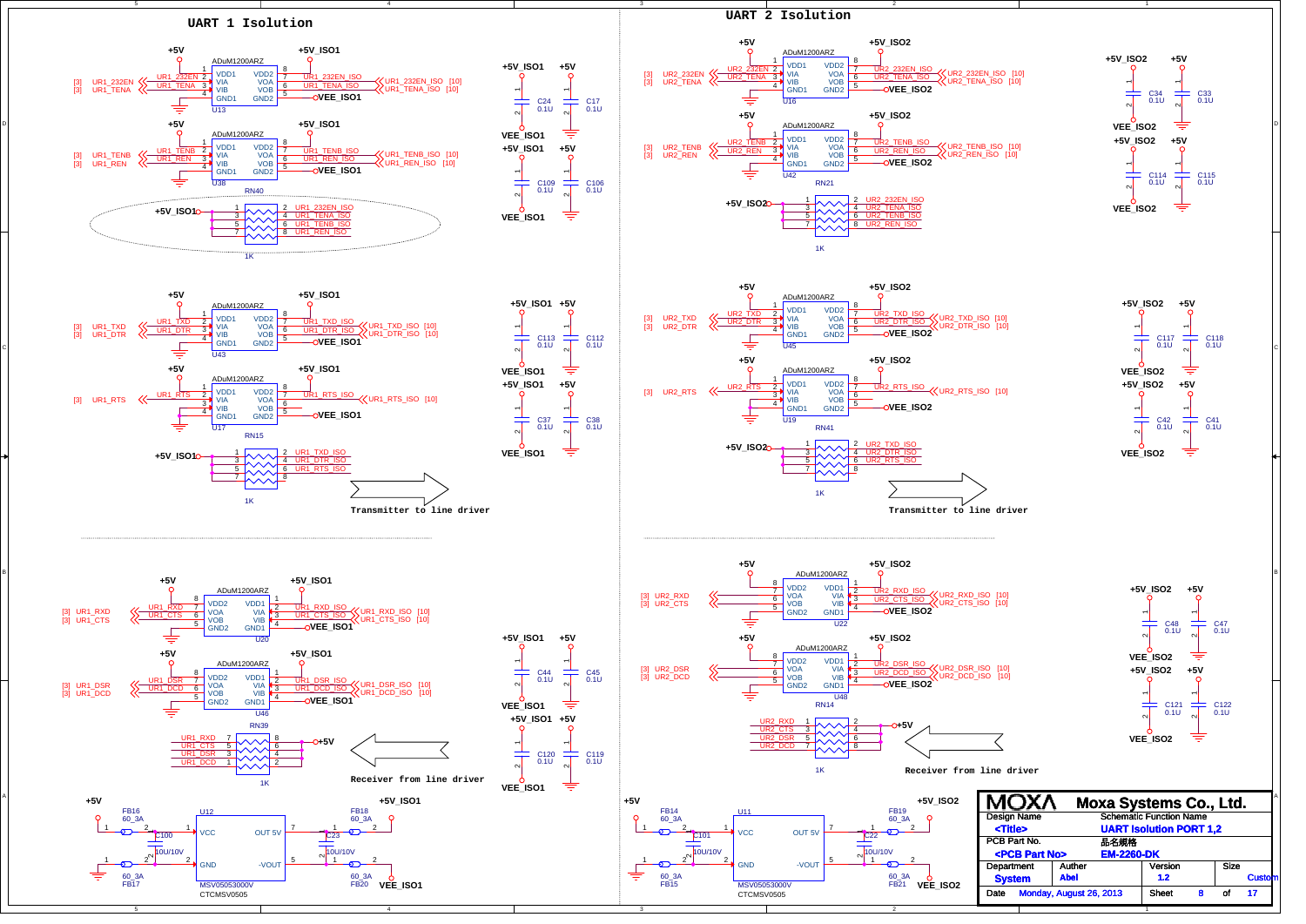![](_page_6_Figure_0.jpeg)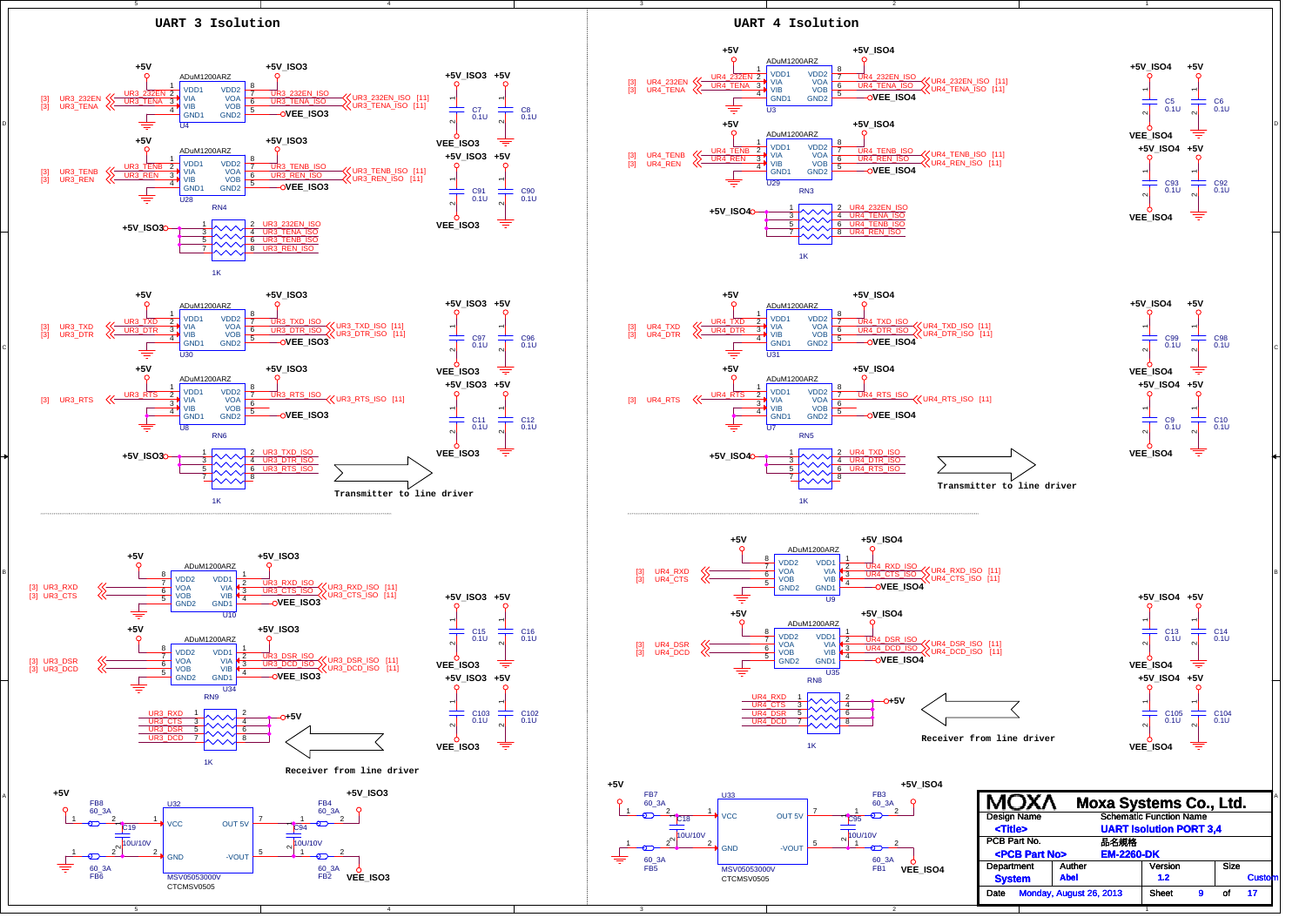![](_page_7_Figure_0.jpeg)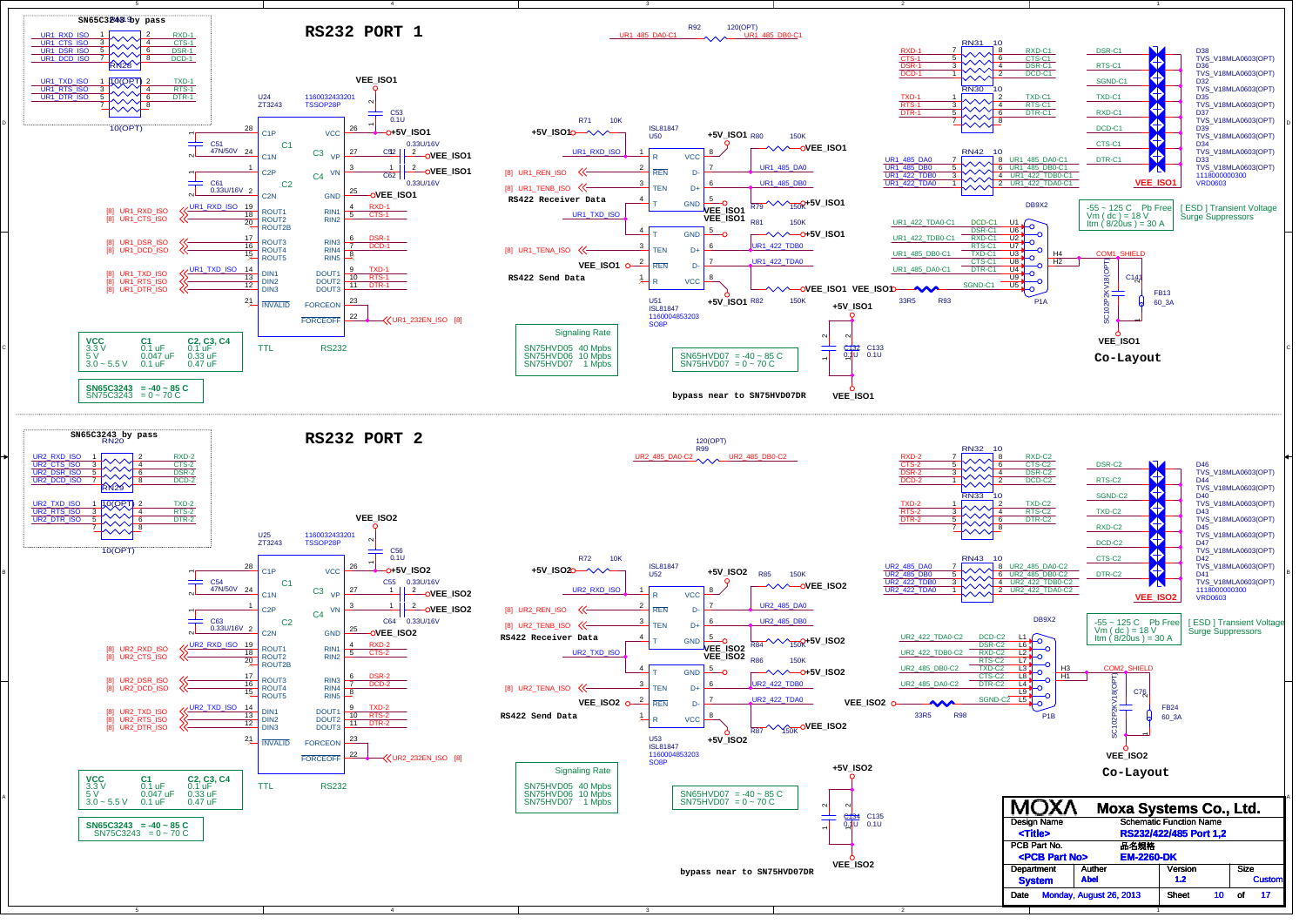![](_page_8_Figure_0.jpeg)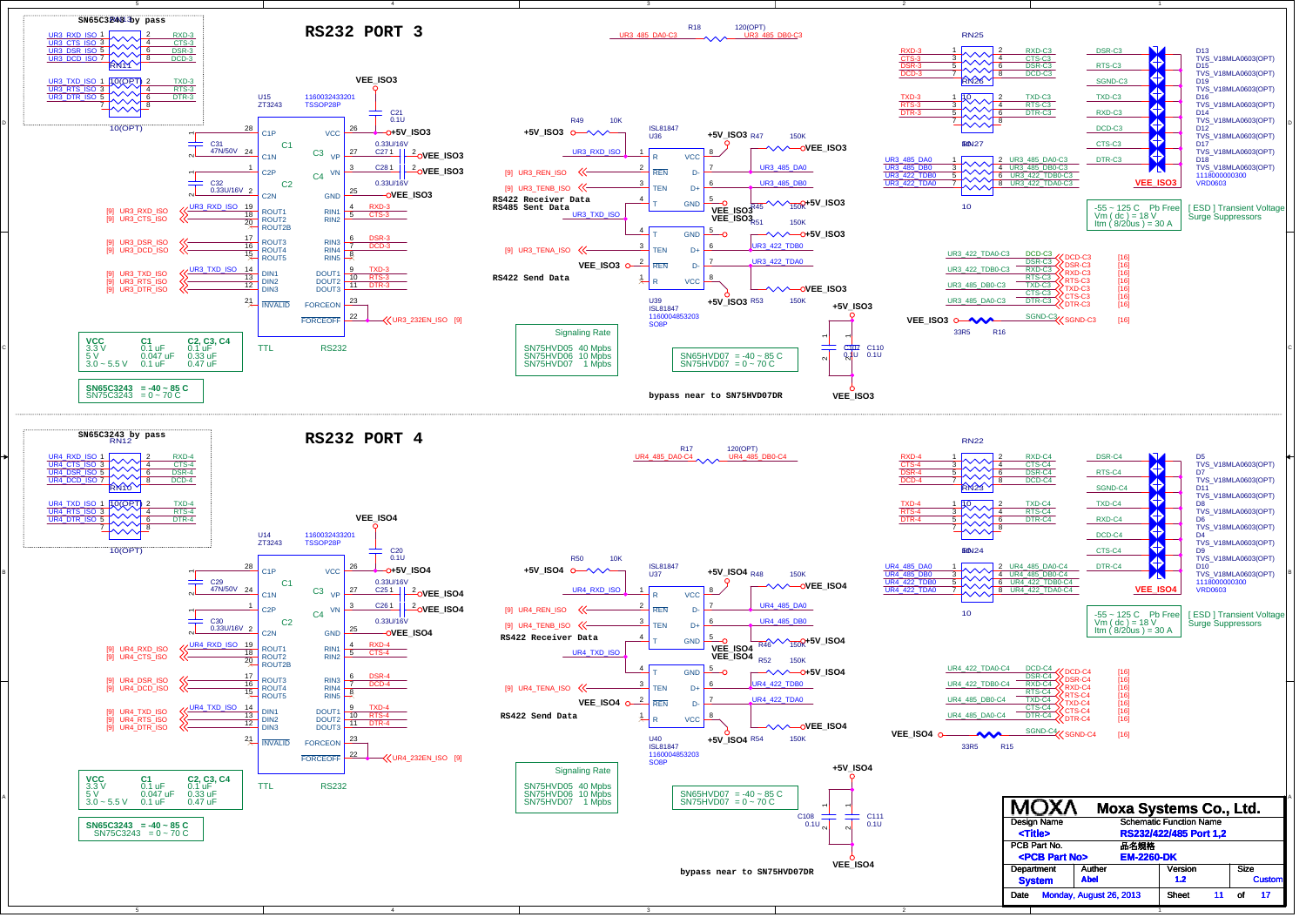![](_page_9_Figure_0.jpeg)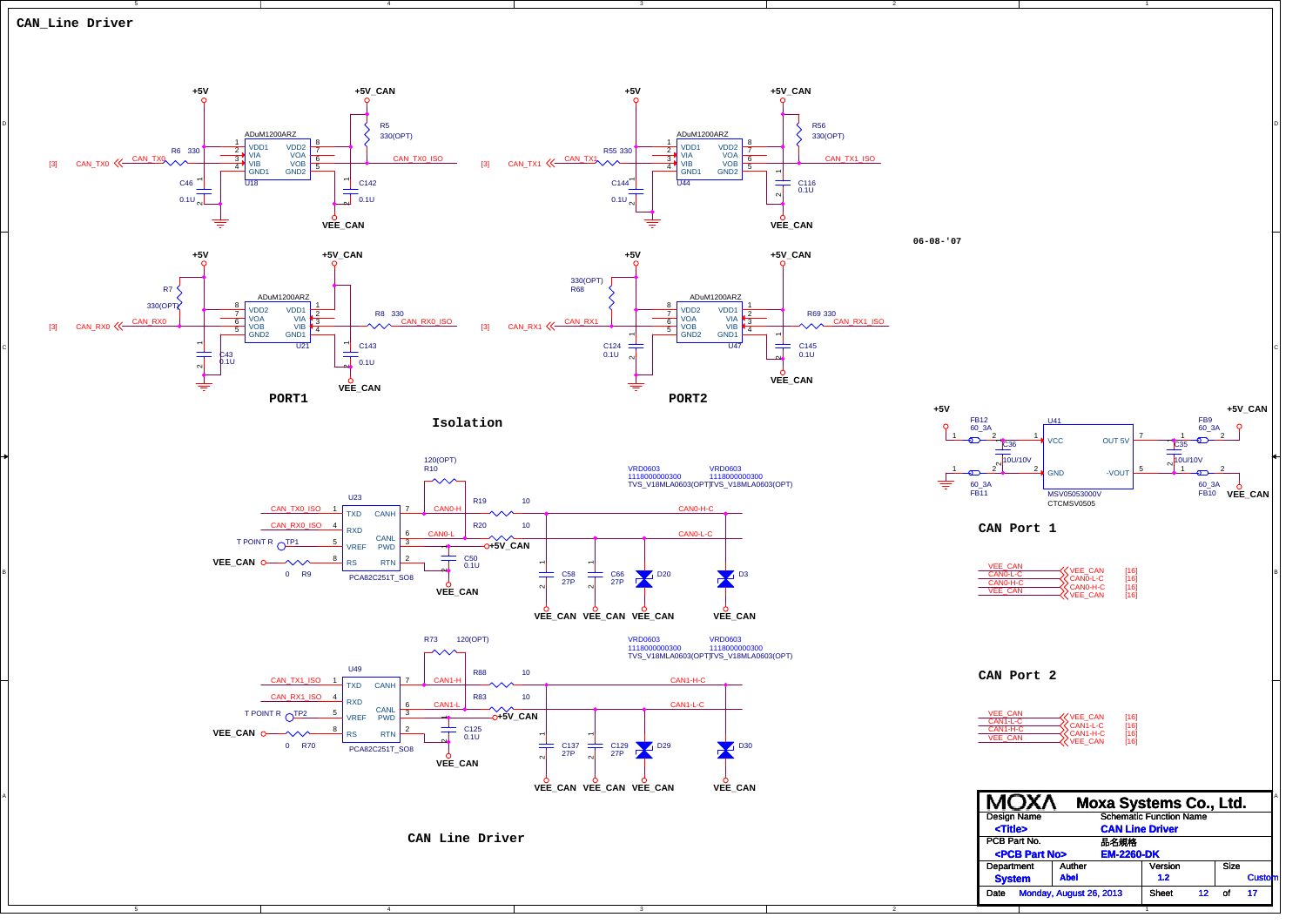![](_page_10_Figure_0.jpeg)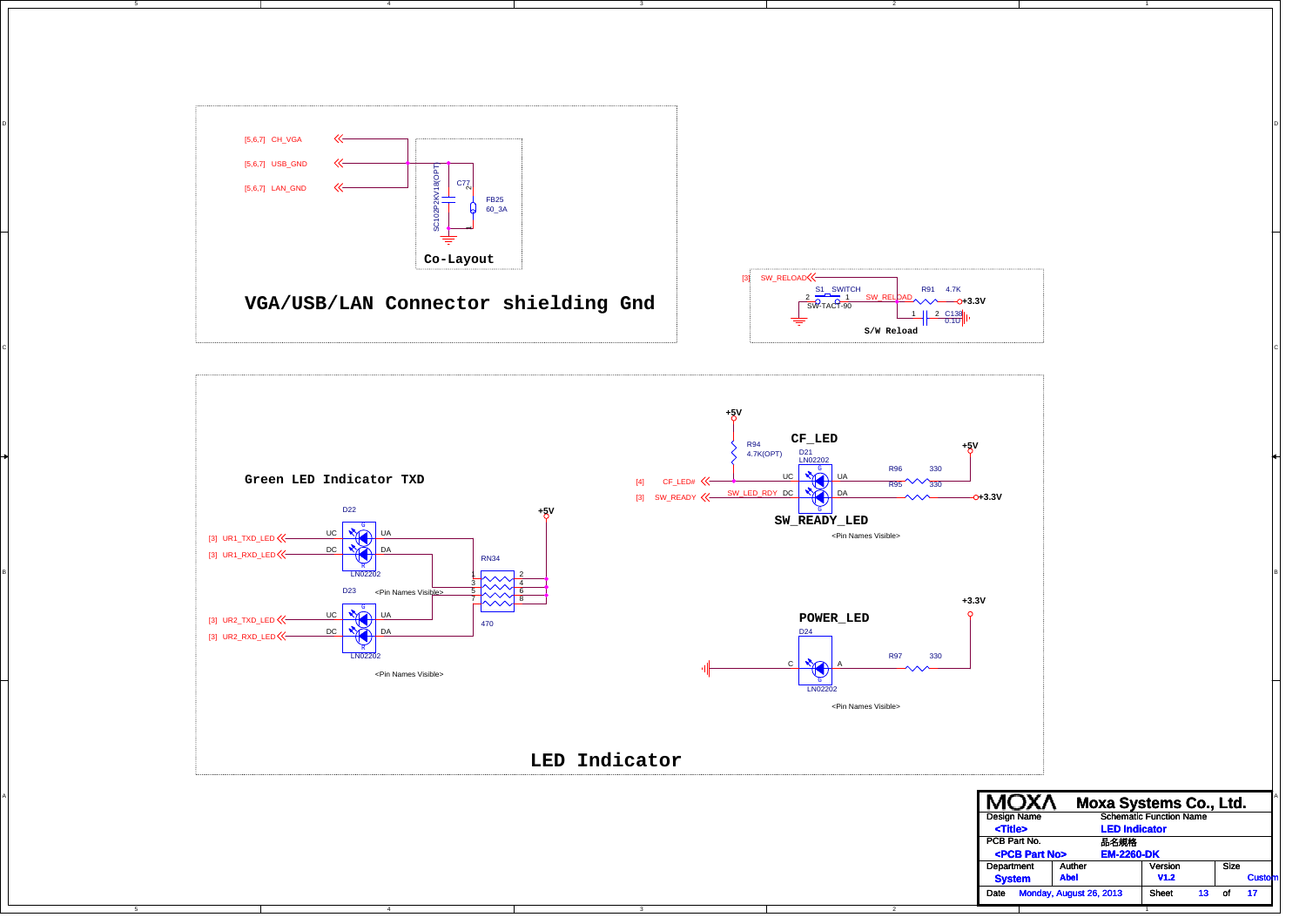![](_page_11_Figure_0.jpeg)

C

B

![](_page_11_Figure_1.jpeg)

![](_page_11_Figure_2.jpeg)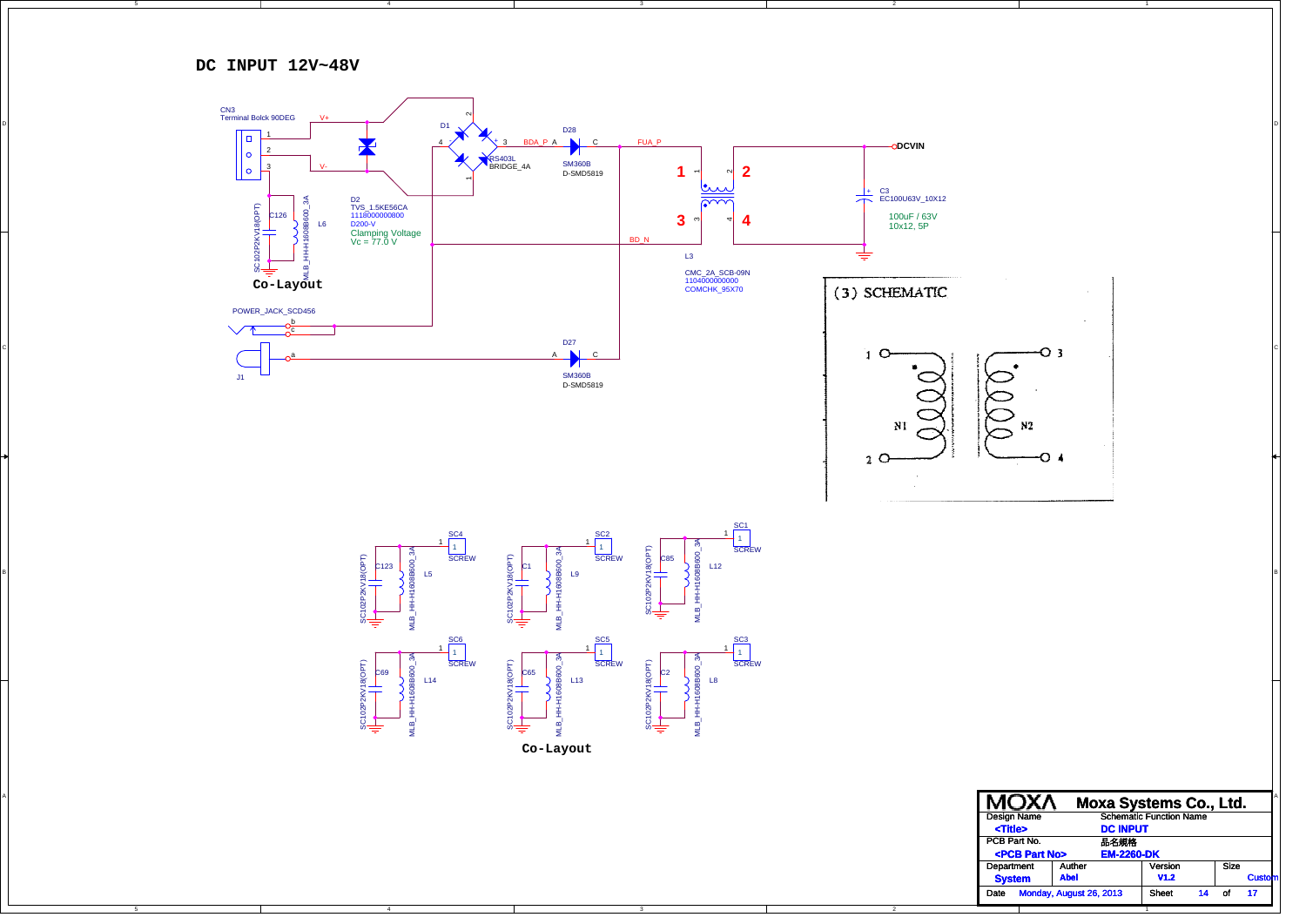**DC INPUT 12V~48V**

4

![](_page_12_Figure_1.jpeg)

1

**V1.2**

Date Monday, August 26, 2013 Sheet 14 of 17

Size of

**Cu** 

C

B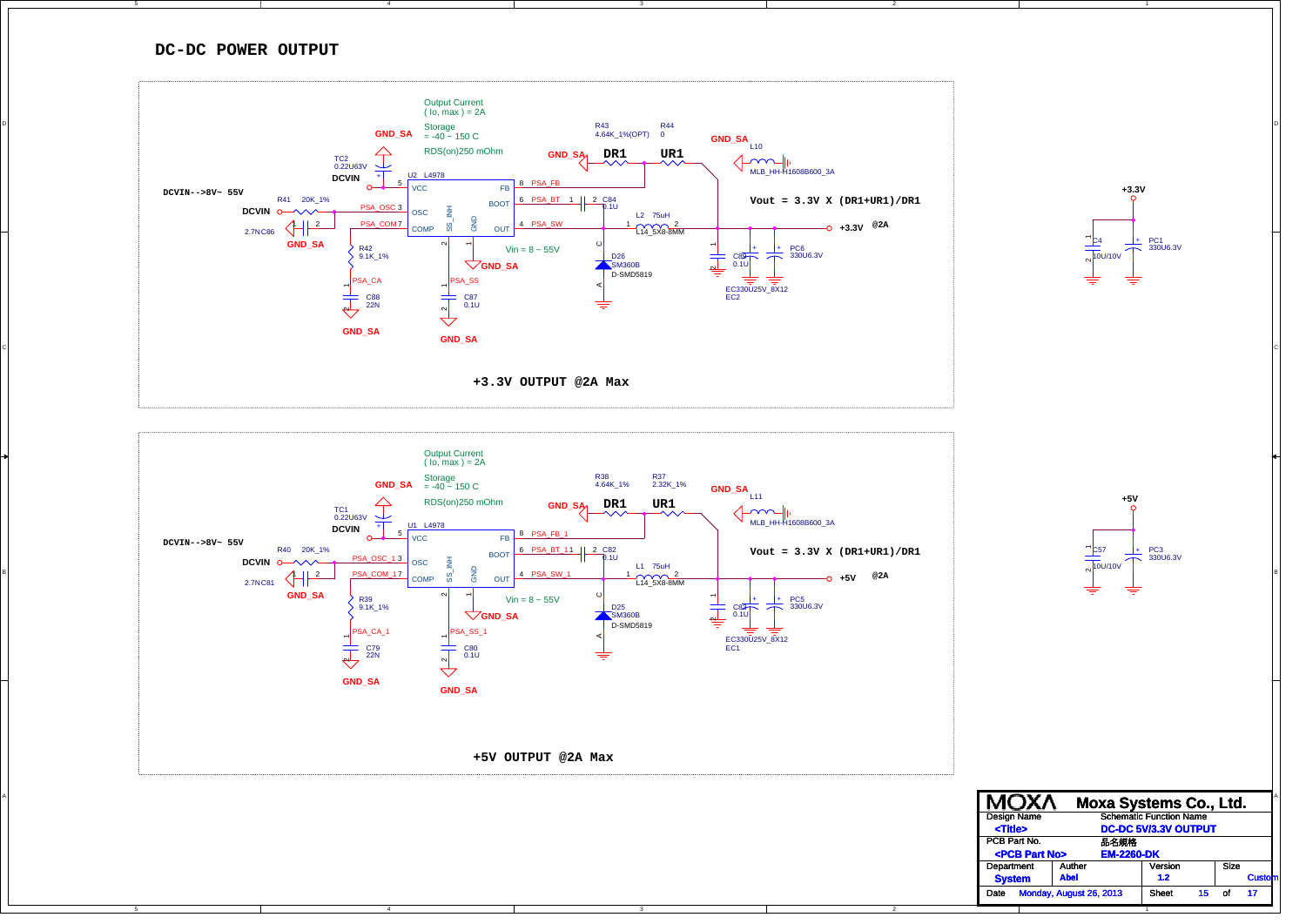## **DC-DC POWER OUTPUT**

![](_page_13_Figure_1.jpeg)

![](_page_13_Figure_2.jpeg)

4

![](_page_13_Figure_3.jpeg)

**+5V**

+ PC3330U6.3V

 $\overline{C}$ 57  $\sim$ 10U/10V

 A **Moxa Systems Co., Ltd.** Sizeof PCB Part No. 品名規格 Department Auther | Version Date Monday, August 26, 2013 Sheet 15 of 17 Design Name Schematic Function Name **DC-DC 5V/3.3V OUTPUT 1.2 <Title> Cu**  $R$ **-PCB Part No> EM-2260-DK System Abel**

1

C

B